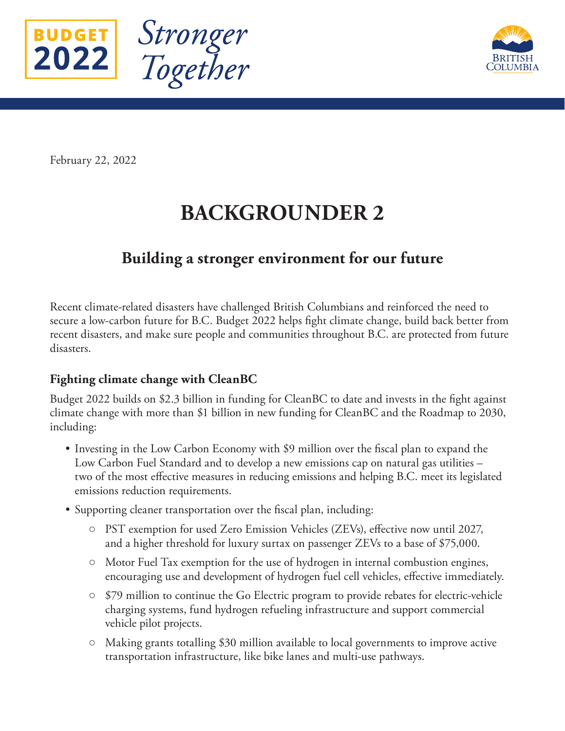



February 22, 2022

# **BACKGROUNDER 2**

## **Building a stronger environment for our future**

Recent climate-related disasters have challenged British Columbians and reinforced the need to secure a low-carbon future for B.C. Budget 2022 helps fight climate change, build back better from recent disasters, and make sure people and communities throughout B.C. are protected from future disasters.

#### **Fighting climate change with CleanBC**

Budget 2022 builds on \$2.3 billion in funding for CleanBC to date and invests in the fight against climate change with more than \$1 billion in new funding for CleanBC and the Roadmap to 2030, including:

- Investing in the Low Carbon Economy with \$9 million over the fiscal plan to expand the Low Carbon Fuel Standard and to develop a new emissions cap on natural gas utilities – two of the most effective measures in reducing emissions and helping B.C. meet its legislated emissions reduction requirements.
- Supporting cleaner transportation over the fiscal plan, including:
	- PST exemption for used Zero Emission Vehicles (ZEVs), effective now until 2027, and a higher threshold for luxury surtax on passenger ZEVs to a base of \$75,000.
	- Motor Fuel Tax exemption for the use of hydrogen in internal combustion engines, encouraging use and development of hydrogen fuel cell vehicles, effective immediately.
	- \$79 million to continue the Go Electric program to provide rebates for electric-vehicle charging systems, fund hydrogen refueling infrastructure and support commercial vehicle pilot projects.
	- Making grants totalling \$30 million available to local governments to improve active transportation infrastructure, like bike lanes and multi-use pathways.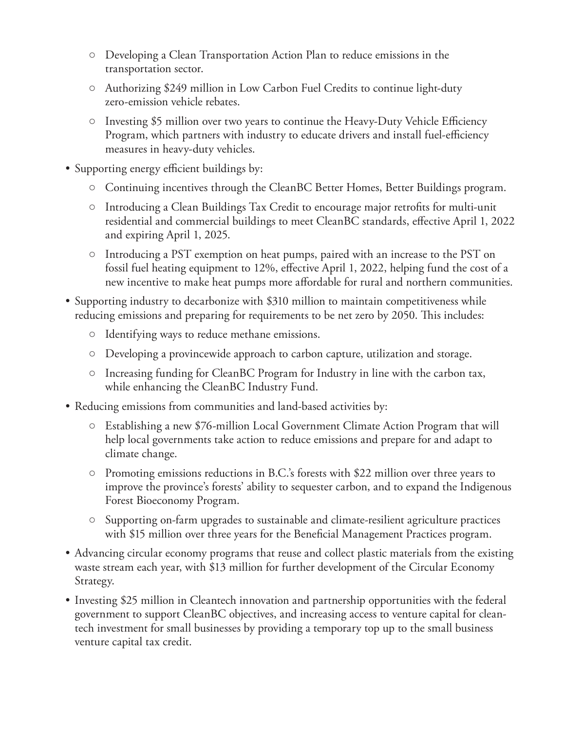- Developing a Clean Transportation Action Plan to reduce emissions in the transportation sector.
- Authorizing \$249 million in Low Carbon Fuel Credits to continue light-duty zero-emission vehicle rebates.
- Investing \$5 million over two years to continue the Heavy-Duty Vehicle Efficiency Program, which partners with industry to educate drivers and install fuel-efficiency measures in heavy-duty vehicles.
- Supporting energy efficient buildings by:
	- Continuing incentives through the CleanBC Better Homes, Better Buildings program.
	- Introducing a Clean Buildings Tax Credit to encourage major retrofits for multi-unit residential and commercial buildings to meet CleanBC standards, effective April 1, 2022 and expiring April 1, 2025.
	- Introducing a PST exemption on heat pumps, paired with an increase to the PST on fossil fuel heating equipment to 12%, effective April 1, 2022, helping fund the cost of a new incentive to make heat pumps more affordable for rural and northern communities.
- Supporting industry to decarbonize with \$310 million to maintain competitiveness while reducing emissions and preparing for requirements to be net zero by 2050. This includes:
	- Identifying ways to reduce methane emissions.
	- Developing a provincewide approach to carbon capture, utilization and storage.
	- Increasing funding for CleanBC Program for Industry in line with the carbon tax, while enhancing the CleanBC Industry Fund.
- Reducing emissions from communities and land-based activities by:
	- Establishing a new \$76-million Local Government Climate Action Program that will help local governments take action to reduce emissions and prepare for and adapt to climate change.
	- Promoting emissions reductions in B.C.'s forests with \$22 million over three years to improve the province's forests' ability to sequester carbon, and to expand the Indigenous Forest Bioeconomy Program.
	- Supporting on-farm upgrades to sustainable and climate-resilient agriculture practices with \$15 million over three years for the Beneficial Management Practices program.
- Advancing circular economy programs that reuse and collect plastic materials from the existing waste stream each year, with \$13 million for further development of the Circular Economy Strategy.
- Investing \$25 million in Cleantech innovation and partnership opportunities with the federal government to support CleanBC objectives, and increasing access to venture capital for cleantech investment for small businesses by providing a temporary top up to the small business venture capital tax credit.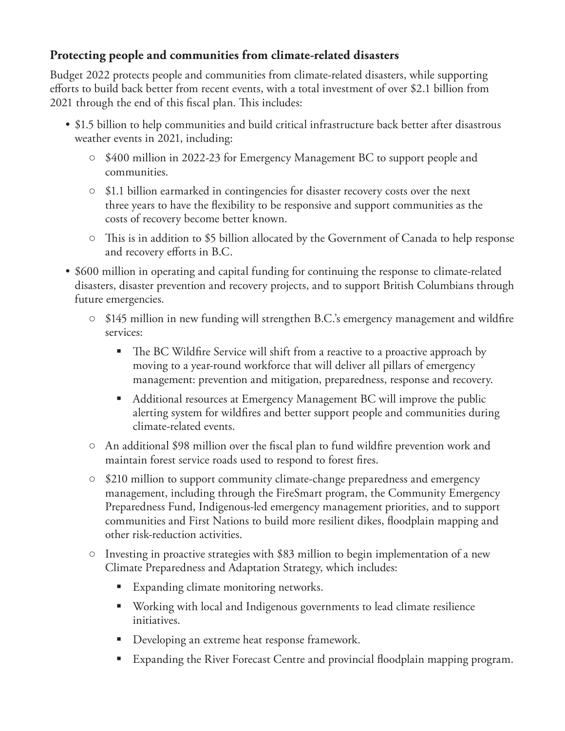### **Protecting people and communities from climate-related disasters**

Budget 2022 protects people and communities from climate-related disasters, while supporting efforts to build back better from recent events, with a total investment of over \$2.1 billion from 2021 through the end of this fiscal plan. This includes:

- \$1.5 billion to help communities and build critical infrastructure back better after disastrous weather events in 2021, including:
	- \$400 million in 2022-23 for Emergency Management BC to support people and communities.
	- \$1.1 billion earmarked in contingencies for disaster recovery costs over the next three years to have the flexibility to be responsive and support communities as the costs of recovery become better known.
	- This is in addition to \$5 billion allocated by the Government of Canada to help response and recovery efforts in B.C.
- \$600 million in operating and capital funding for continuing the response to climate-related disasters, disaster prevention and recovery projects, and to support British Columbians through future emergencies.
	- \$145 million in new funding will strengthen B.C.'s emergency management and wildfire services:
		- The BC Wildfire Service will shift from a reactive to a proactive approach by moving to a year-round workforce that will deliver all pillars of emergency management: prevention and mitigation, preparedness, response and recovery.
		- Additional resources at Emergency Management BC will improve the public alerting system for wildfires and better support people and communities during climate-related events.
	- An additional \$98 million over the fiscal plan to fund wildfire prevention work and maintain forest service roads used to respond to forest fires.
	- \$210 million to support community climate-change preparedness and emergency management, including through the FireSmart program, the Community Emergency Preparedness Fund, Indigenous-led emergency management priorities, and to support communities and First Nations to build more resilient dikes, floodplain mapping and other risk-reduction activities.
	- $\circ$  Investing in proactive strategies with \$83 million to begin implementation of a new Climate Preparedness and Adaptation Strategy, which includes:
		- Expanding climate monitoring networks.
		- Working with local and Indigenous governments to lead climate resilience initiatives.
		- Developing an extreme heat response framework.
		- Expanding the River Forecast Centre and provincial floodplain mapping program.